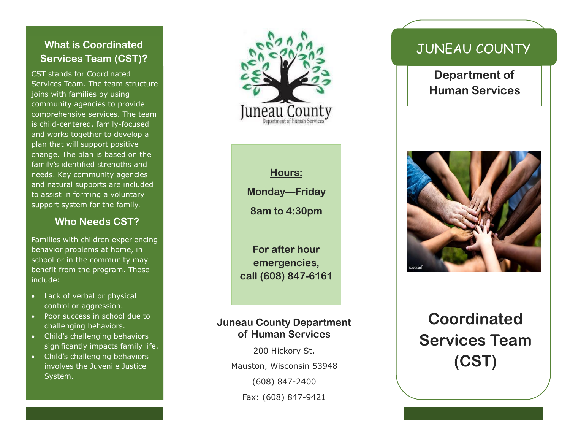#### **What is Coordinated Services Team (CST)?**

CST stands for Coordinated Services Team. The team structure joins with families by using community agencies to provide comprehensive services. The team is child -centered, family -focused and works together to develop a plan that will support positive change. The plan is based on the family's identified strengths and needs. Key community agencies and natural supports are included to assist in forming a voluntary support system for the family.

#### **Who Needs CST?**

Families with children experiencing behavior problems at home, in school or in the community may benefit from the program. These include:

- Lack of verbal or physical control or aggression.
- Poor success in school due to challenging behaviors.
- Child's challenging behaviors significantly impacts family life.
- Child's challenging behaviors involves the Juvenile Justice System.



**Hours: Monday —Friday 8am to 4:30pm**

**For after hour emergencies, call (608) 847 -6161**

#### **Juneau County Department of Human Services**

200 Hickory St. Mauston, Wisconsin 53948 (608) 847 -2400 Fax: (608) 847 -9421

# JUNEAU COUNTY

**Department of Human Services**



# **Coordinated Services Team (CST)**